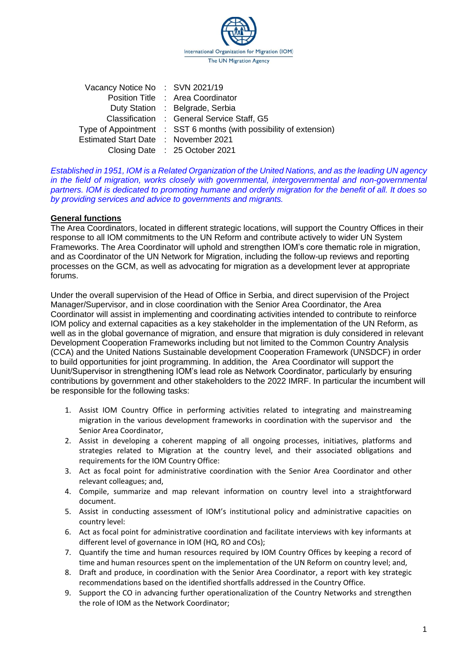

| Vacancy Notice No: SVN 2021/19       |                                                                    |
|--------------------------------------|--------------------------------------------------------------------|
|                                      | Position Title : Area Coordinator                                  |
|                                      | Duty Station : Belgrade, Serbia                                    |
|                                      | Classification : General Service Staff, G5                         |
|                                      | Type of Appointment : SST 6 months (with possibility of extension) |
| Estimated Start Date : November 2021 |                                                                    |
|                                      | Closing Date : 25 October 2021                                     |

*Established in 1951, IOM is a Related Organization of the United Nations, and as the leading UN agency in the field of migration, works closely with governmental, intergovernmental and non-governmental partners. IOM is dedicated to promoting humane and orderly migration for the benefit of all. It does so by providing services and advice to governments and migrants.*

#### **General functions**

The Area Coordinators, located in different strategic locations, will support the Country Offices in their response to all IOM commitments to the UN Reform and contribute actively to wider UN System Frameworks. The Area Coordinator will uphold and strengthen IOM's core thematic role in migration, and as Coordinator of the UN Network for Migration, including the follow-up reviews and reporting processes on the GCM, as well as advocating for migration as a development lever at appropriate forums.

Under the overall supervision of the Head of Office in Serbia, and direct supervision of the Project Manager/Supervisor, and in close coordination with the Senior Area Coordinator, the Area Coordinator will assist in implementing and coordinating activities intended to contribute to reinforce IOM policy and external capacities as a key stakeholder in the implementation of the UN Reform, as well as in the global governance of migration, and ensure that migration is duly considered in relevant Development Cooperation Frameworks including but not limited to the Common Country Analysis (CCA) and the United Nations Sustainable development Cooperation Framework (UNSDCF) in order to build opportunities for joint programming. In addition, the Area Coordinator will support the Uunit/Supervisor in strengthening IOM's lead role as Network Coordinator, particularly by ensuring contributions by government and other stakeholders to the 2022 IMRF. In particular the incumbent will be responsible for the following tasks:

- 1. Assist IOM Country Office in performing activities related to integrating and mainstreaming migration in the various development frameworks in coordination with the supervisor and the Senior Area Coordinator,
- 2. Assist in developing a coherent mapping of all ongoing processes, initiatives, platforms and strategies related to Migration at the country level, and their associated obligations and requirements for the IOM Country Office:
- 3. Act as focal point for administrative coordination with the Senior Area Coordinator and other relevant colleagues; and,
- 4. Compile, summarize and map relevant information on country level into a straightforward document.
- 5. Assist in conducting assessment of IOM's institutional policy and administrative capacities on country level:
- 6. Act as focal point for administrative coordination and facilitate interviews with key informants at different level of governance in IOM (HQ, RO and COs);
- 7. Quantify the time and human resources required by IOM Country Offices by keeping a record of time and human resources spent on the implementation of the UN Reform on country level; and,
- 8. Draft and produce, in coordination with the Senior Area Coordinator, a report with key strategic recommendations based on the identified shortfalls addressed in the Country Office.
- 9. Support the CO in advancing further operationalization of the Country Networks and strengthen the role of IOM as the Network Coordinator;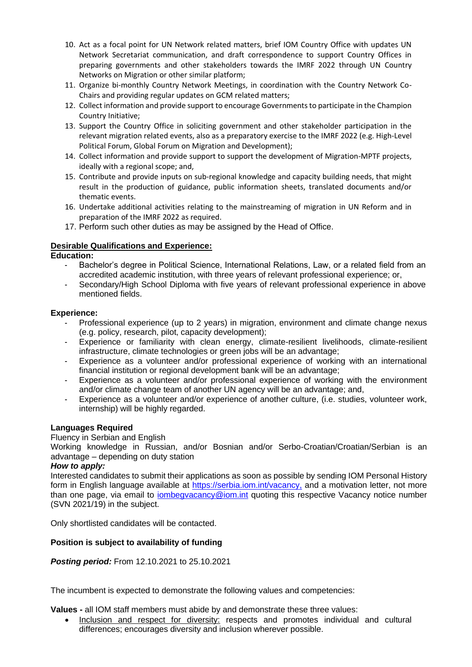- 10. Act as a focal point for UN Network related matters, brief IOM Country Office with updates UN Network Secretariat communication, and draft correspondence to support Country Offices in preparing governments and other stakeholders towards the IMRF 2022 through UN Country Networks on Migration or other similar platform;
- 11. Organize bi-monthly Country Network Meetings, in coordination with the Country Network Co-Chairs and providing regular updates on GCM related matters;
- 12. Collect information and provide support to encourage Governments to participate in the Champion Country Initiative;
- 13. Support the Country Office in soliciting government and other stakeholder participation in the relevant migration related events, also as a preparatory exercise to the IMRF 2022 (e.g. High-Level Political Forum, Global Forum on Migration and Development);
- 14. Collect information and provide support to support the development of Migration-MPTF projects, ideally with a regional scope; and,
- 15. Contribute and provide inputs on sub-regional knowledge and capacity building needs, that might result in the production of guidance, public information sheets, translated documents and/or thematic events.
- 16. Undertake additional activities relating to the mainstreaming of migration in UN Reform and in preparation of the IMRF 2022 as required.
- 17. Perform such other duties as may be assigned by the Head of Office.

# **Desirable Qualifications and Experience:**

**Education:**

- Bachelor's degree in Political Science, International Relations, Law, or a related field from an accredited academic institution, with three years of relevant professional experience; or,
- Secondary/High School Diploma with five years of relevant professional experience in above mentioned fields.

# **Experience:**

- Professional experience (up to 2 years) in migration, environment and climate change nexus (e.g. policy, research, pilot, capacity development);
- Experience or familiarity with clean energy, climate-resilient livelihoods, climate-resilient infrastructure, climate technologies or green jobs will be an advantage;
- Experience as a volunteer and/or professional experience of working with an international financial institution or regional development bank will be an advantage;
- Experience as a volunteer and/or professional experience of working with the environment and/or climate change team of another UN agency will be an advantage; and,
- Experience as a volunteer and/or experience of another culture, (i.e. studies, volunteer work, internship) will be highly regarded.

# **Languages Required**

# Fluency in Serbian and English

Working knowledge in Russian, and/or Bosnian and/or Serbo-Croatian/Croatian/Serbian is an advantage – depending on duty station

# *How to apply:*

Interested candidates to submit their applications as soon as possible by sending IOM Personal History form in English language available at [https://serbia.iom.int/vacancy,](https://serbia.iom.int/vacancy) and a motivation letter, not more than one page, via email to *iombegvacancy@iom.int* quoting this respective Vacancy notice number (SVN 2021/19) in the subject.

Only shortlisted candidates will be contacted.

# **Position is subject to availability of funding**

*Posting period:* From 12.10.2021 to 25.10.2021

The incumbent is expected to demonstrate the following values and competencies:

**Values -** all IOM staff members must abide by and demonstrate these three values:

• Inclusion and respect for diversity: respects and promotes individual and cultural differences; encourages diversity and inclusion wherever possible.